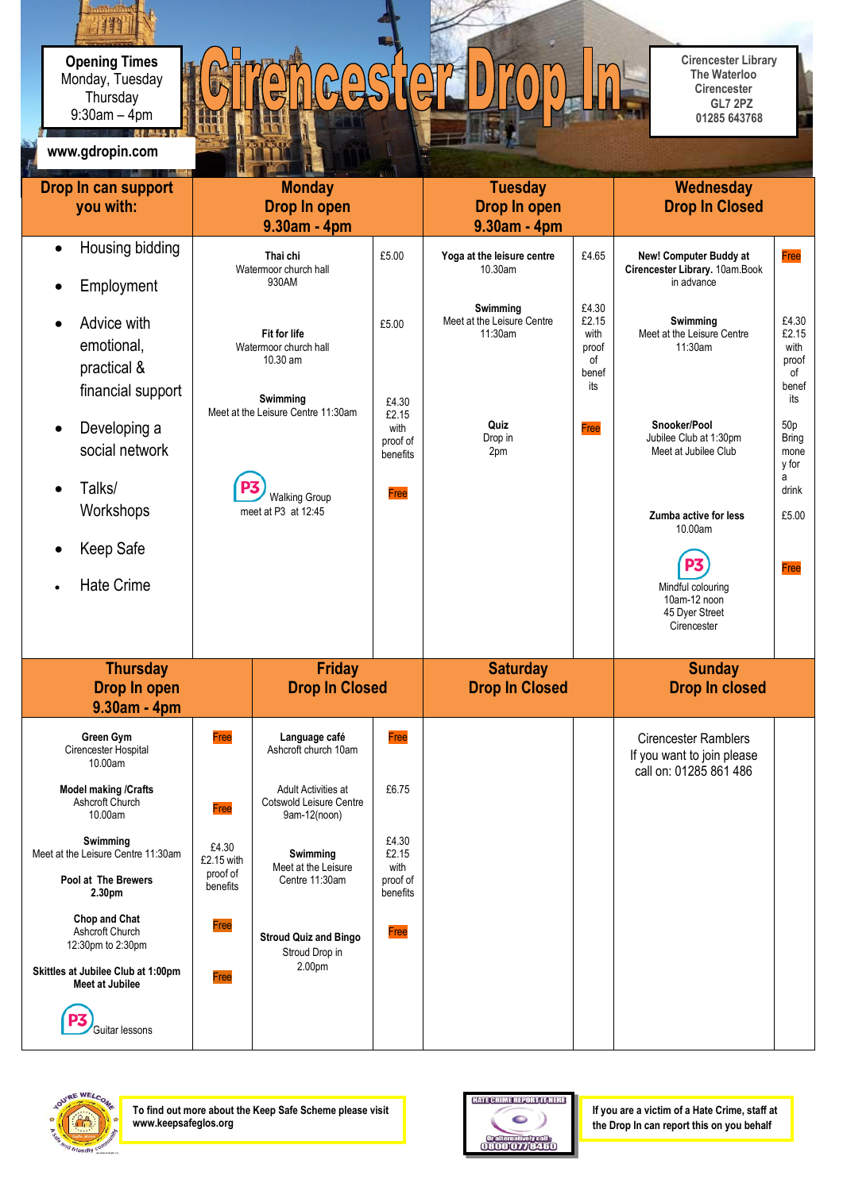**Opening Times** Monday, Tuesday 9:30am – 4pm **Thursday** 

## CAS  $\blacksquare$  $\sqrt{\frac{1}{5}}$

 **Cirencester Library The Waterloo Cirencester GL7 2PZ 01285 643768**

| www.gdropin.com                                                                                                       |                                                                                                                                    |                                                                |                                                |                                                   |                                                       |                                                                                     |                                                       |
|-----------------------------------------------------------------------------------------------------------------------|------------------------------------------------------------------------------------------------------------------------------------|----------------------------------------------------------------|------------------------------------------------|---------------------------------------------------|-------------------------------------------------------|-------------------------------------------------------------------------------------|-------------------------------------------------------|
| Drop In can support<br>you with:                                                                                      | <b>Monday</b><br>Drop In open<br>9.30am - 4pm                                                                                      |                                                                |                                                | <b>Tuesday</b><br>Drop In open<br>9.30am - 4pm    |                                                       | <b>Wednesday</b><br><b>Drop In Closed</b>                                           |                                                       |
| Housing bidding<br>$\bullet$<br>Employment<br>$\bullet$                                                               |                                                                                                                                    | Thai chi<br>Watermoor church hall<br>930AM                     | £5.00                                          | Yoga at the leisure centre<br>10.30am             | £4.65                                                 | New! Computer Buddy at<br>Cirencester Library. 10am.Book<br>in advance              | Free                                                  |
| Advice with<br>emotional,<br>practical &<br>financial support                                                         | <b>Fit for life</b><br>Watermoor church hall<br>10.30 am<br>Swimming<br>Meet at the Leisure Centre 11:30am<br><b>Walking Group</b> |                                                                | £5.00<br>£4.30                                 | Swimming<br>Meet at the Leisure Centre<br>11:30am | £4.30<br>£2.15<br>with<br>proof<br>0f<br>benef<br>its | Swimming<br>Meet at the Leisure Centre<br>11:30am                                   | £4.30<br>£2.15<br>with<br>proof<br>of<br>benef<br>its |
| Developing a<br>social network<br>Talks/<br>$\bullet$                                                                 |                                                                                                                                    |                                                                | £2.15<br>with<br>proof of<br>benefits<br>Free  | Quiz<br>Drop in<br>2pm                            | Free                                                  | Snooker/Pool<br>Jubilee Club at 1:30pm<br>Meet at Jubilee Club                      | 50p<br><b>Bring</b><br>mone<br>y for<br>a<br>drink    |
| Workshops                                                                                                             | meet at P3 at 12:45                                                                                                                |                                                                |                                                |                                                   |                                                       | Zumba active for less<br>10.00am                                                    | £5.00                                                 |
| Keep Safe<br><b>Hate Crime</b>                                                                                        |                                                                                                                                    |                                                                |                                                |                                                   |                                                       | Mindful colouring<br>10am-12 noon<br>45 Dyer Street<br>Cirencester                  | Free                                                  |
| <b>Thursday</b><br>Drop In open<br>9.30am - 4pm                                                                       | <b>Friday</b><br><b>Drop In Closed</b>                                                                                             |                                                                | <b>Saturday</b><br><b>Drop In Closed</b>       |                                                   | <b>Sunday</b><br><b>Drop In closed</b>                |                                                                                     |                                                       |
| Green Gym<br>Cirencester Hospital<br>10.00am                                                                          | Free                                                                                                                               | Language café<br>Ashcroft church 10am                          | Free                                           |                                                   |                                                       | <b>Cirencester Ramblers</b><br>If you want to join please<br>call on: 01285 861 486 |                                                       |
| <b>Model making /Crafts</b><br>Ashcroft Church<br>10.00am                                                             | Free                                                                                                                               | Adult Activities at<br>Cotswold Leisure Centre<br>9am-12(noon) | £6.75                                          |                                                   |                                                       |                                                                                     |                                                       |
| Swimming<br>Meet at the Leisure Centre 11:30am<br>Pool at The Brewers<br>2.30pm                                       | £4.30<br>$£2.15$ with<br>proof of<br>benefits                                                                                      | Swimming<br>Meet at the Leisure<br>Centre 11:30am              | £4.30<br>£2.15<br>with<br>proof of<br>benefits |                                                   |                                                       |                                                                                     |                                                       |
| Chop and Chat<br>Ashcroft Church<br>12:30pm to 2:30pm<br>Skittles at Jubilee Club at 1:00pm<br><b>Meet at Jubilee</b> | Free<br>Free                                                                                                                       | <b>Stroud Quiz and Bingo</b><br>Stroud Drop in<br>2.00pm       | Free                                           |                                                   |                                                       |                                                                                     |                                                       |
| Guitar lessons                                                                                                        |                                                                                                                                    |                                                                |                                                |                                                   |                                                       |                                                                                     |                                                       |



**To find out more about the Keep Safe Scheme please visit www.keepsafeglos.org**



**If you are a victim of a Hate Crime, staff at the Drop In can report this on you behalf**